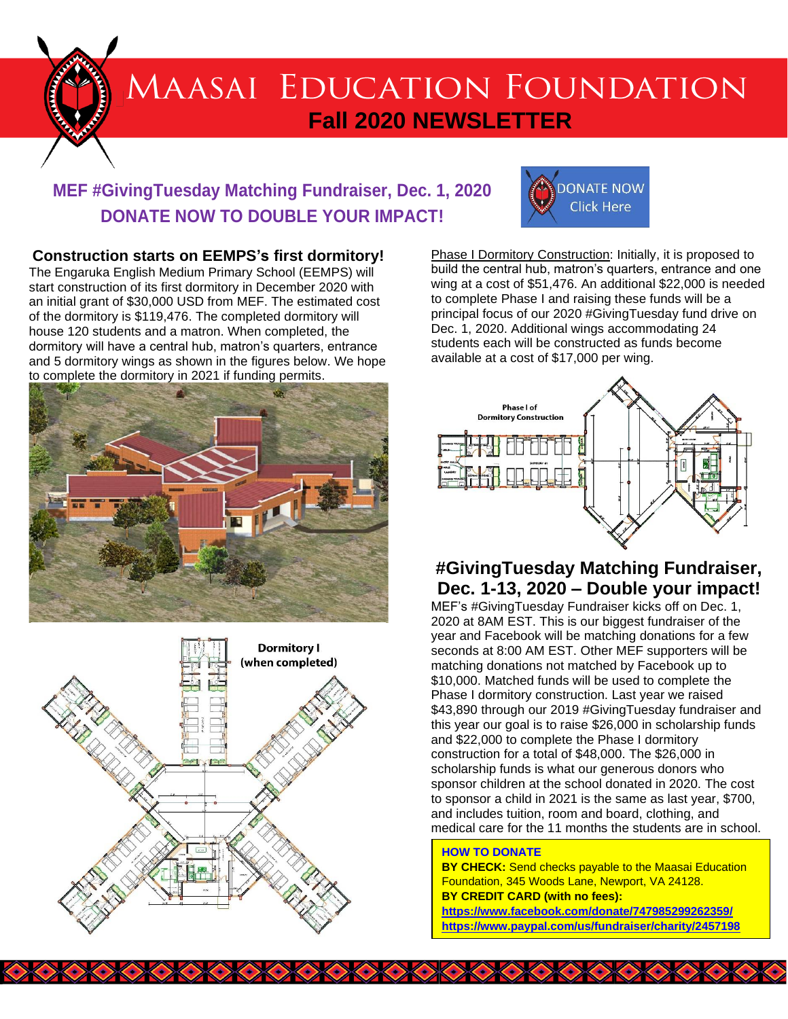

# **MAASAI EDUCATION FOUNDATION Fall 2020 NEWSLETTER**

## **MEF #GivingTuesday Matching Fundraiser, Dec. 1, 2020 DONATE NOW TO DOUBLE YOUR IMPACT!**

#### **Construction starts on EEMPS's first dormitory!**

The Engaruka English Medium Primary School (EEMPS) will start construction of its first dormitory in December 2020 with an initial grant of \$30,000 USD from MEF. The estimated cost of the dormitory is \$119,476. The completed dormitory will house 120 students and a matron. When completed, the dormitory will have a central hub, matron's quarters, entrance and 5 dormitory wings as shown in the figures below. We hope to complete the dormitory in 2021 if funding permits.







Phase I Dormitory Construction: Initially, it is proposed to build the central hub, matron's quarters, entrance and one wing at a cost of \$51,476. An additional \$22,000 is needed to complete Phase I and raising these funds will be a principal focus of our 2020 #GivingTuesday fund drive on Dec. 1, 2020. Additional wings accommodating 24 students each will be constructed as funds become available at a cost of \$17,000 per wing.



### **#GivingTuesday Matching Fundraiser, Dec. 1-13, 2020 – Double your impact!**

MEF's #GivingTuesday Fundraiser kicks off on Dec. 1, 2020 at 8AM EST. This is our biggest fundraiser of the year and Facebook will be matching donations for a few seconds at 8:00 AM EST. Other MEF supporters will be matching donations not matched by Facebook up to \$10,000. Matched funds will be used to complete the Phase I dormitory construction. Last year we raised \$43,890 through our 2019 #GivingTuesday fundraiser and this year our goal is to raise \$26,000 in scholarship funds and \$22,000 to complete the Phase I dormitory construction for a total of \$48,000. The \$26,000 in scholarship funds is what our generous donors who sponsor children at the school donated in 2020. The cost to sponsor a child in 2021 is the same as last year, \$700, and includes tuition, room and board, clothing, and medical care for the 11 months the students are in school.

#### **HOW TO DONATE**

**XXXXXXXXXXXXX** 

**BY CHECK:** Send checks payable to the Maasai Education Foundation, 345 Woods Lane, Newport, VA 24128. **BY CREDIT CARD (with no fees):**

**<https://www.facebook.com/donate/747985299262359/> <https://www.paypal.com/us/fundraiser/charity/2457198>**